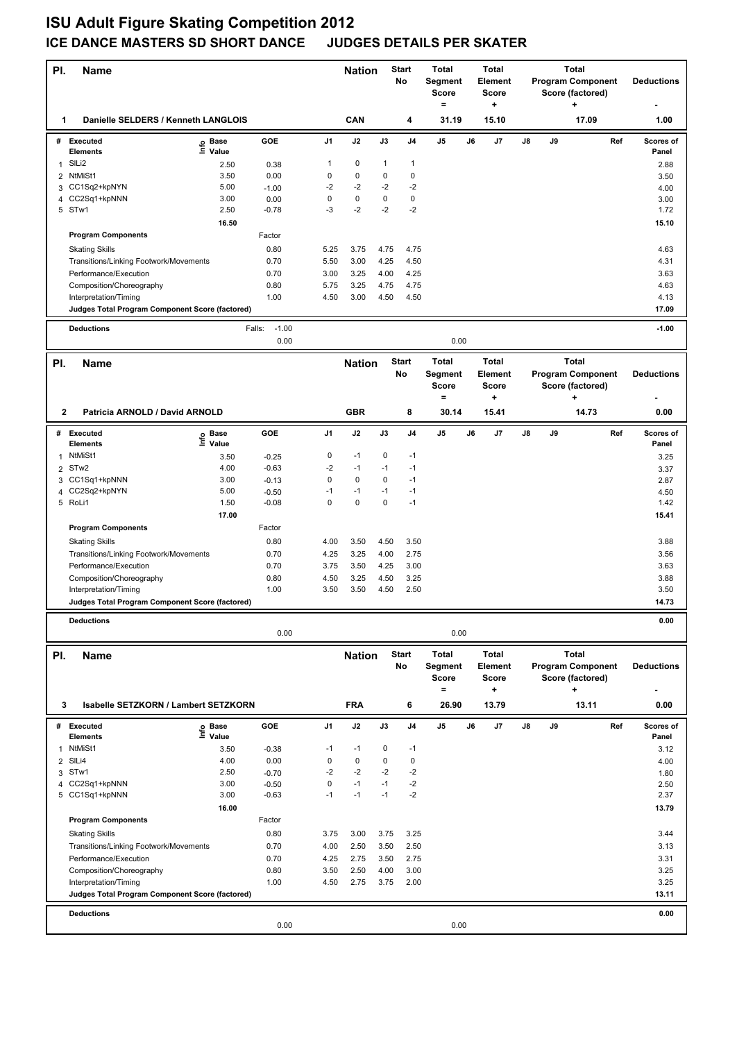## **ISU Adult Figure Skating Competition 2012 ICE DANCE MASTERS SD SHORT DANCE JUDGES DETAILS PER SKATER**

| PI.    | <b>Name</b><br>Danielle SELDERS / Kenneth LANGLOIS |                   |                    | <b>Nation</b>       |                   | <b>Start</b><br>No | <b>Total</b><br>Segment<br>Score<br>$\equiv$ |                   | <b>Total</b><br>Element<br><b>Score</b><br>٠ |              |    | <b>Total</b><br><b>Program Component</b><br>Score (factored)<br>÷ | <b>Deductions</b>        |                   |
|--------|----------------------------------------------------|-------------------|--------------------|---------------------|-------------------|--------------------|----------------------------------------------|-------------------|----------------------------------------------|--------------|----|-------------------------------------------------------------------|--------------------------|-------------------|
| 1      |                                                    |                   |                    |                     | CAN               |                    | 4                                            | 31.19             |                                              | 15.10        |    |                                                                   | 17.09                    | 1.00              |
|        | # Executed                                         | e Base<br>⊆ Value | GOE                | J1                  | J2                | J3                 | J4                                           | J5                | J6                                           | J7           | J8 | J9                                                                | Ref                      | Scores of         |
| 1      | <b>Elements</b><br>SILi2                           | 2.50              | 0.38               | 1                   | 0                 | 1                  | 1                                            |                   |                                              |              |    |                                                                   |                          | Panel<br>2.88     |
| 2      | NtMiSt1                                            | 3.50              | 0.00               | 0                   | 0                 | 0                  | $\mathbf 0$                                  |                   |                                              |              |    |                                                                   |                          | 3.50              |
|        | 3 CC1Sq2+kpNYN                                     | 5.00              | $-1.00$            | $-2$                | $-2$              | $-2$               | $-2$                                         |                   |                                              |              |    |                                                                   |                          | 4.00              |
| 4      | CC2Sq1+kpNNN                                       | 3.00              | 0.00               | 0                   | $\pmb{0}$         | 0                  | $\mathbf 0$                                  |                   |                                              |              |    |                                                                   |                          | 3.00              |
|        | 5 STw1                                             | 2.50              | $-0.78$            | -3                  | -2                | $-2$               | $-2$                                         |                   |                                              |              |    |                                                                   |                          | 1.72              |
|        |                                                    | 16.50             |                    |                     |                   |                    |                                              |                   |                                              |              |    |                                                                   |                          | 15.10             |
|        | <b>Program Components</b>                          |                   | Factor             |                     |                   |                    |                                              |                   |                                              |              |    |                                                                   |                          |                   |
|        | <b>Skating Skills</b>                              |                   | 0.80               | 5.25                | 3.75              | 4.75               | 4.75                                         |                   |                                              |              |    |                                                                   |                          | 4.63              |
|        | Transitions/Linking Footwork/Movements             |                   | 0.70               | 5.50                | 3.00              | 4.25               | 4.50                                         |                   |                                              |              |    |                                                                   |                          | 4.31              |
|        | Performance/Execution                              |                   | 0.70               | 3.00                | 3.25              | 4.00               | 4.25                                         |                   |                                              |              |    |                                                                   |                          | 3.63              |
|        | Composition/Choreography                           |                   | 0.80               | 5.75                | 3.25              | 4.75               | 4.75                                         |                   |                                              |              |    |                                                                   |                          | 4.63              |
|        | Interpretation/Timing                              |                   | 1.00               | 4.50                | 3.00              | 4.50               | 4.50                                         |                   |                                              |              |    |                                                                   |                          | 4.13              |
|        | Judges Total Program Component Score (factored)    |                   |                    |                     |                   |                    |                                              |                   |                                              |              |    |                                                                   |                          | 17.09             |
|        | <b>Deductions</b>                                  |                   | $-1.00$<br>Falls:  |                     |                   |                    |                                              |                   |                                              |              |    |                                                                   |                          | $-1.00$           |
|        |                                                    |                   | 0.00               |                     |                   |                    |                                              | 0.00              |                                              |              |    |                                                                   |                          |                   |
| PI.    | <b>Name</b>                                        |                   |                    |                     | <b>Nation</b>     |                    | <b>Start</b>                                 | <b>Total</b>      |                                              | Total        |    |                                                                   | <b>Total</b>             |                   |
|        |                                                    |                   |                    |                     |                   |                    | No                                           | Segment           |                                              | Element      |    |                                                                   | <b>Program Component</b> | <b>Deductions</b> |
|        |                                                    |                   |                    |                     |                   |                    |                                              | <b>Score</b>      |                                              | Score        |    |                                                                   | Score (factored)         |                   |
|        |                                                    |                   |                    |                     |                   |                    |                                              | $\qquad \qquad =$ |                                              | ٠            |    |                                                                   | ٠                        |                   |
| 2      | Patricia ARNOLD / David ARNOLD                     |                   |                    |                     | <b>GBR</b>        |                    | 8                                            | 30.14             |                                              | 15.41        |    |                                                                   | 14.73                    | 0.00              |
|        | # Executed                                         | ු Base            | GOE                | J1                  | J2                | J3                 | J <sub>4</sub>                               | J5                | J6                                           | J7           | J8 | J9                                                                | Ref                      | Scores of         |
|        | <b>Elements</b>                                    | Ξ<br>Value        |                    |                     |                   |                    |                                              |                   |                                              |              |    |                                                                   |                          | Panel             |
| 1      | NtMiSt1                                            | 3.50              | $-0.25$            | 0                   | $-1$              | 0                  | $-1$                                         |                   |                                              |              |    |                                                                   |                          | 3.25              |
|        | 2 STw2                                             | 4.00              | $-0.63$            | -2                  | $-1$              | $-1$               | $-1$                                         |                   |                                              |              |    |                                                                   |                          | 3.37              |
| 3      | CC1Sq1+kpNNN                                       | 3.00              | $-0.13$            | 0                   | 0                 | 0                  | $-1$                                         |                   |                                              |              |    |                                                                   |                          | 2.87              |
| 4      | CC2Sq2+kpNYN<br>5 RoLi1                            | 5.00<br>1.50      | $-0.50$<br>$-0.08$ | $-1$<br>$\mathbf 0$ | $-1$<br>$\pmb{0}$ | $-1$<br>0          | $-1$<br>$-1$                                 |                   |                                              |              |    |                                                                   |                          | 4.50<br>1.42      |
|        |                                                    | 17.00             |                    |                     |                   |                    |                                              |                   |                                              |              |    |                                                                   |                          | 15.41             |
|        | <b>Program Components</b>                          |                   | Factor             |                     |                   |                    |                                              |                   |                                              |              |    |                                                                   |                          |                   |
|        | <b>Skating Skills</b>                              |                   | 0.80               | 4.00                | 3.50              | 4.50               | 3.50                                         |                   |                                              |              |    |                                                                   |                          | 3.88              |
|        | Transitions/Linking Footwork/Movements             |                   | 0.70               | 4.25                | 3.25              | 4.00               | 2.75                                         |                   |                                              |              |    |                                                                   |                          | 3.56              |
|        | Performance/Execution                              |                   | 0.70               | 3.75                | 3.50              | 4.25               | 3.00                                         |                   |                                              |              |    |                                                                   |                          | 3.63              |
|        | Composition/Choreography                           |                   | 0.80               | 4.50                | 3.25              | 4.50               | 3.25                                         |                   |                                              |              |    |                                                                   |                          | 3.88              |
|        | Interpretation/Timing                              |                   | 1.00               | 3.50                | 3.50              | 4.50               | 2.50                                         |                   |                                              |              |    |                                                                   |                          | 3.50              |
|        | Judges Total Program Component Score (factored)    |                   |                    |                     |                   |                    |                                              |                   |                                              |              |    |                                                                   |                          | 14.73             |
|        | <b>Deductions</b>                                  |                   |                    |                     |                   |                    |                                              |                   |                                              |              |    |                                                                   |                          | 0.00              |
|        |                                                    |                   | 0.00               |                     |                   |                    |                                              | 0.00              |                                              |              |    |                                                                   |                          |                   |
| PI.    | <b>Name</b>                                        |                   |                    |                     | <b>Nation</b>     |                    | <b>Start</b>                                 | <b>Total</b>      |                                              | <b>Total</b> |    |                                                                   | <b>Total</b>             |                   |
|        |                                                    |                   |                    |                     |                   |                    | No                                           | Segment           |                                              | Element      |    |                                                                   | <b>Program Component</b> | <b>Deductions</b> |
|        |                                                    |                   |                    |                     |                   |                    |                                              | Score             |                                              | <b>Score</b> |    |                                                                   | Score (factored)         |                   |
|        |                                                    |                   |                    |                     |                   |                    |                                              | $\equiv$          |                                              | +            |    |                                                                   | ٠                        |                   |
| 3      | Isabelle SETZKORN / Lambert SETZKORN               |                   |                    |                     | <b>FRA</b>        |                    | 6                                            | 26.90             |                                              | 13.79        |    |                                                                   | 13.11                    | 0.00              |
|        | # Executed                                         | e Base<br>⊆ Value | GOE                | J1                  | J2                | J3                 | J4                                           | J5                | J6                                           | J7           | J8 | J9                                                                | Ref                      | Scores of         |
|        | <b>Elements</b><br>NtMiSt1                         |                   |                    |                     |                   |                    |                                              |                   |                                              |              |    |                                                                   |                          | Panel             |
| 1      |                                                    | 3.50              | $-0.38$            | $-1$<br>$\pmb{0}$   | $-1$<br>$\pmb{0}$ | 0<br>0             | $-1$<br>$\pmb{0}$                            |                   |                                              |              |    |                                                                   |                          | 3.12              |
| 2<br>3 | SILi4<br>STw1                                      | 4.00<br>2.50      | 0.00               | $-2$                | $-2$              | $-2$               | $-2$                                         |                   |                                              |              |    |                                                                   |                          | 4.00              |
| 4      | CC2Sq1+kpNNN                                       | 3.00              | $-0.70$<br>$-0.50$ | 0                   | $-1$              | $-1$               | $-2$                                         |                   |                                              |              |    |                                                                   |                          | 1.80<br>2.50      |
|        | 5 CC1Sq1+kpNNN                                     | 3.00              | $-0.63$            | $-1$                | $-1$              | $-1$               | $-2$                                         |                   |                                              |              |    |                                                                   |                          | 2.37              |
|        |                                                    | 16.00             |                    |                     |                   |                    |                                              |                   |                                              |              |    |                                                                   |                          | 13.79             |
|        | <b>Program Components</b>                          |                   | Factor             |                     |                   |                    |                                              |                   |                                              |              |    |                                                                   |                          |                   |
|        | <b>Skating Skills</b>                              |                   | 0.80               | 3.75                | 3.00              | 3.75               | 3.25                                         |                   |                                              |              |    |                                                                   |                          | 3.44              |
|        | Transitions/Linking Footwork/Movements             |                   | 0.70               | 4.00                | 2.50              | 3.50               | 2.50                                         |                   |                                              |              |    |                                                                   |                          | 3.13              |
|        | Performance/Execution                              |                   | 0.70               | 4.25                | 2.75              | 3.50               | 2.75                                         |                   |                                              |              |    |                                                                   |                          | 3.31              |
|        | Composition/Choreography                           |                   | 0.80               | 3.50                | 2.50              | 4.00               | 3.00                                         |                   |                                              |              |    |                                                                   |                          | 3.25              |
|        | Interpretation/Timing                              |                   | 1.00               | 4.50                | 2.75              | 3.75               | 2.00                                         |                   |                                              |              |    |                                                                   |                          | 3.25              |
|        | Judges Total Program Component Score (factored)    |                   |                    |                     |                   |                    |                                              |                   |                                              |              |    |                                                                   |                          | 13.11             |
|        | <b>Deductions</b>                                  |                   |                    |                     |                   |                    |                                              |                   |                                              |              |    |                                                                   |                          | 0.00              |
|        |                                                    |                   | 0.00               |                     |                   |                    |                                              | 0.00              |                                              |              |    |                                                                   |                          |                   |
|        |                                                    |                   |                    |                     |                   |                    |                                              |                   |                                              |              |    |                                                                   |                          |                   |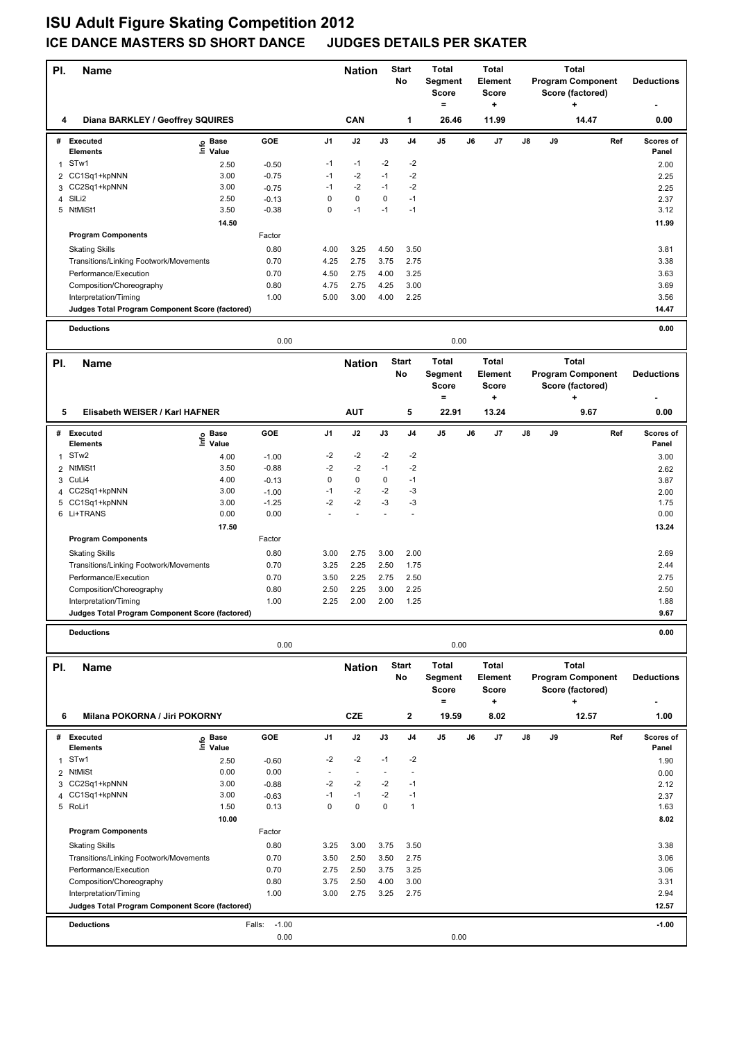## **ISU Adult Figure Skating Competition 2012 ICE DANCE MASTERS SD SHORT DANCE JUDGES DETAILS PER SKATER**

| PI.            | <b>Name</b>                                                              |                       |                    |                | <b>Nation</b> |             | <b>Start</b><br>No | <b>Total</b><br>Segment<br><b>Score</b><br>$\equiv$ |    | <b>Total</b><br>Element<br><b>Score</b><br>٠ |    |    | <b>Total</b><br><b>Program Component</b><br>Score (factored)<br>٠ |     | <b>Deductions</b>  |
|----------------|--------------------------------------------------------------------------|-----------------------|--------------------|----------------|---------------|-------------|--------------------|-----------------------------------------------------|----|----------------------------------------------|----|----|-------------------------------------------------------------------|-----|--------------------|
| 4              | Diana BARKLEY / Geoffrey SQUIRES                                         |                       |                    |                | CAN           |             | 1                  | 26.46                                               |    | 11.99                                        |    |    | 14.47                                                             |     | 0.00               |
|                | # Executed                                                               | e Base<br>⊑ Value     | GOE                | J1             | J2            | J3          | J <sub>4</sub>     | J5                                                  | J6 | J7                                           | J8 | J9 |                                                                   | Ref | Scores of          |
|                | <b>Elements</b><br>STw1                                                  |                       |                    | $-1$           | $-1$          | -2          | $-2$               |                                                     |    |                                              |    |    |                                                                   |     | Panel              |
| 1<br>2         | CC1Sq1+kpNNN                                                             | 2.50<br>3.00          | $-0.50$<br>$-0.75$ | $-1$           | $-2$          | $-1$        | $-2$               |                                                     |    |                                              |    |    |                                                                   |     | 2.00<br>2.25       |
| 3              | CC2Sq1+kpNNN                                                             | 3.00                  | $-0.75$            | $-1$           | $-2$          | $-1$        | $-2$               |                                                     |    |                                              |    |    |                                                                   |     | 2.25               |
| 4              | SILi2                                                                    | 2.50                  | $-0.13$            | 0              | $\mathbf 0$   | 0           | $-1$               |                                                     |    |                                              |    |    |                                                                   |     | 2.37               |
|                | 5 NtMiSt1                                                                | 3.50                  | $-0.38$            | 0              | $-1$          | $-1$        | $-1$               |                                                     |    |                                              |    |    |                                                                   |     | 3.12               |
|                |                                                                          | 14.50                 |                    |                |               |             |                    |                                                     |    |                                              |    |    |                                                                   |     | 11.99              |
|                | <b>Program Components</b>                                                |                       | Factor             |                |               |             |                    |                                                     |    |                                              |    |    |                                                                   |     |                    |
|                | <b>Skating Skills</b>                                                    |                       | 0.80               | 4.00           | 3.25          | 4.50        | 3.50               |                                                     |    |                                              |    |    |                                                                   |     | 3.81               |
|                | Transitions/Linking Footwork/Movements                                   |                       | 0.70               | 4.25           | 2.75          | 3.75        | 2.75               |                                                     |    |                                              |    |    |                                                                   |     | 3.38               |
|                | Performance/Execution                                                    |                       | 0.70               | 4.50           | 2.75          | 4.00        | 3.25               |                                                     |    |                                              |    |    |                                                                   |     | 3.63               |
|                | Composition/Choreography                                                 |                       | 0.80               | 4.75           | 2.75          | 4.25        | 3.00               |                                                     |    |                                              |    |    |                                                                   |     | 3.69               |
|                | Interpretation/Timing                                                    |                       | 1.00               | 5.00           | 3.00          | 4.00        | 2.25               |                                                     |    |                                              |    |    |                                                                   |     | 3.56               |
|                | Judges Total Program Component Score (factored)                          |                       |                    |                |               |             |                    |                                                     |    |                                              |    |    |                                                                   |     | 14.47              |
|                | <b>Deductions</b>                                                        |                       |                    |                |               |             |                    |                                                     |    |                                              |    |    |                                                                   |     | 0.00               |
|                |                                                                          |                       | 0.00               |                |               |             |                    | 0.00                                                |    |                                              |    |    |                                                                   |     |                    |
| PI.            | <b>Name</b>                                                              |                       |                    |                | <b>Nation</b> |             | <b>Start</b>       | <b>Total</b>                                        |    | <b>Total</b>                                 |    |    | <b>Total</b>                                                      |     |                    |
|                |                                                                          |                       |                    |                |               |             | No                 | Segment                                             |    | Element                                      |    |    | <b>Program Component</b>                                          |     | <b>Deductions</b>  |
|                |                                                                          |                       |                    |                |               |             |                    | <b>Score</b>                                        |    | Score                                        |    |    | Score (factored)<br>$\ddot{}$                                     |     |                    |
| 5              | Elisabeth WEISER / Karl HAFNER                                           |                       |                    |                | <b>AUT</b>    |             | 5                  | $=$<br>22.91                                        |    | +<br>13.24                                   |    |    | 9.67                                                              |     | 0.00               |
|                |                                                                          |                       |                    |                |               |             |                    |                                                     |    |                                              |    |    |                                                                   |     |                    |
|                | # Executed<br><b>Elements</b>                                            | Base<br>١nf٥<br>Value | GOE                | J1             | J2            | J3          | J4                 | J5                                                  | J6 | J7                                           | J8 | J9 |                                                                   | Ref | Scores of<br>Panel |
| $\mathbf{1}$   | STw <sub>2</sub>                                                         | 4.00                  | $-1.00$            | -2             | -2            | $-2$        | -2                 |                                                     |    |                                              |    |    |                                                                   |     | 3.00               |
| 2              | NtMiSt1                                                                  | 3.50                  | $-0.88$            | $-2$           | $-2$          | $-1$        | $-2$               |                                                     |    |                                              |    |    |                                                                   |     | 2.62               |
| 3              | CuLi4                                                                    | 4.00                  | $-0.13$            | 0              | $\mathbf 0$   | $\mathbf 0$ | $-1$               |                                                     |    |                                              |    |    |                                                                   |     | 3.87               |
| 4              | CC2Sq1+kpNNN                                                             | 3.00                  | $-1.00$            | $-1$           | $-2$          | $-2$        | $-3$               |                                                     |    |                                              |    |    |                                                                   |     | 2.00               |
|                | 5 CC1Sq1+kpNNN                                                           | 3.00                  | $-1.25$            | $-2$           | $-2$          | $-3$        | -3                 |                                                     |    |                                              |    |    |                                                                   |     | 1.75               |
|                | 6 Li+TRANS                                                               | 0.00                  | 0.00               |                |               |             | ÷,                 |                                                     |    |                                              |    |    |                                                                   |     | 0.00               |
|                |                                                                          | 17.50                 |                    |                |               |             |                    |                                                     |    |                                              |    |    |                                                                   |     | 13.24              |
|                | <b>Program Components</b>                                                |                       | Factor             |                |               |             |                    |                                                     |    |                                              |    |    |                                                                   |     |                    |
|                | <b>Skating Skills</b>                                                    |                       | 0.80               | 3.00           | 2.75          | 3.00        | 2.00               |                                                     |    |                                              |    |    |                                                                   |     | 2.69               |
|                | Transitions/Linking Footwork/Movements                                   |                       | 0.70               | 3.25           | 2.25          | 2.50        | 1.75               |                                                     |    |                                              |    |    |                                                                   |     | 2.44               |
|                | Performance/Execution                                                    |                       | 0.70               | 3.50           | 2.25          | 2.75        | 2.50               |                                                     |    |                                              |    |    |                                                                   |     | 2.75               |
|                | Composition/Choreography                                                 |                       | 0.80               | 2.50<br>2.25   | 2.25<br>2.00  | 3.00        | 2.25               |                                                     |    |                                              |    |    |                                                                   |     | 2.50               |
|                | Interpretation/Timing<br>Judges Total Program Component Score (factored) |                       | 1.00               |                |               | 2.00        | 1.25               |                                                     |    |                                              |    |    |                                                                   |     | 1.88<br>9.67       |
|                |                                                                          |                       |                    |                |               |             |                    |                                                     |    |                                              |    |    |                                                                   |     |                    |
|                | <b>Deductions</b>                                                        |                       | 0.00               |                |               |             |                    | 0.00                                                |    |                                              |    |    |                                                                   |     | 0.00               |
|                |                                                                          |                       |                    |                |               |             |                    |                                                     |    |                                              |    |    |                                                                   |     |                    |
| PI.            | <b>Name</b>                                                              |                       |                    |                | <b>Nation</b> |             | <b>Start</b><br>No | <b>Total</b>                                        |    | <b>Total</b><br>Element                      |    |    | <b>Total</b><br><b>Program Component</b>                          |     | <b>Deductions</b>  |
|                |                                                                          |                       |                    |                |               |             |                    | Segment<br><b>Score</b>                             |    | <b>Score</b>                                 |    |    | Score (factored)                                                  |     |                    |
|                |                                                                          |                       |                    |                |               |             |                    | $=$                                                 |    | +                                            |    |    | $\ddot{}$                                                         |     |                    |
| 6              | Milana POKORNA / Jiri POKORNY                                            |                       |                    |                | <b>CZE</b>    |             | 2                  | 19.59                                               |    | 8.02                                         |    |    | 12.57                                                             |     | 1.00               |
|                | # Executed                                                               |                       | GOE                | J1             | J2            | J3          | J4                 | J5                                                  | J6 | J7                                           | J8 | J9 |                                                                   | Ref | Scores of          |
|                | <b>Elements</b>                                                          | e Base<br>⊑ Value     |                    |                |               |             |                    |                                                     |    |                                              |    |    |                                                                   |     | Panel              |
| 1              | STw1                                                                     | 2.50                  | $-0.60$            | $-2$           | $-2$          | $-1$        | $-2$               |                                                     |    |                                              |    |    |                                                                   |     | 1.90               |
| $\overline{2}$ | <b>NtMiSt</b>                                                            | 0.00                  | 0.00               | $\blacksquare$ | $\sim$        |             | ÷,                 |                                                     |    |                                              |    |    |                                                                   |     | 0.00               |
| 3<br>4         | CC2Sq1+kpNNN<br>CC1Sq1+kpNNN                                             | 3.00<br>3.00          | $-0.88$            | $-2$<br>$-1$   | $-2$<br>$-1$  | -2<br>$-2$  | $-1$<br>$-1$       |                                                     |    |                                              |    |    |                                                                   |     | 2.12               |
|                | 5 RoLi1                                                                  | 1.50                  | $-0.63$<br>0.13    | 0              | $\mathbf 0$   | $\mathbf 0$ | $\mathbf{1}$       |                                                     |    |                                              |    |    |                                                                   |     | 2.37<br>1.63       |
|                |                                                                          | 10.00                 |                    |                |               |             |                    |                                                     |    |                                              |    |    |                                                                   |     | 8.02               |
|                | <b>Program Components</b>                                                |                       | Factor             |                |               |             |                    |                                                     |    |                                              |    |    |                                                                   |     |                    |
|                | <b>Skating Skills</b>                                                    |                       | 0.80               | 3.25           | 3.00          | 3.75        | 3.50               |                                                     |    |                                              |    |    |                                                                   |     | 3.38               |
|                | Transitions/Linking Footwork/Movements                                   |                       | 0.70               | 3.50           | 2.50          | 3.50        | 2.75               |                                                     |    |                                              |    |    |                                                                   |     | 3.06               |
|                | Performance/Execution                                                    |                       | 0.70               | 2.75           | 2.50          | 3.75        | 3.25               |                                                     |    |                                              |    |    |                                                                   |     | 3.06               |
|                | Composition/Choreography                                                 |                       | 0.80               | 3.75           | 2.50          | 4.00        | 3.00               |                                                     |    |                                              |    |    |                                                                   |     | 3.31               |
|                | Interpretation/Timing                                                    |                       | 1.00               | 3.00           | 2.75          | 3.25        | 2.75               |                                                     |    |                                              |    |    |                                                                   |     | 2.94               |
|                | Judges Total Program Component Score (factored)                          |                       |                    |                |               |             |                    |                                                     |    |                                              |    |    |                                                                   |     | 12.57              |
|                | <b>Deductions</b>                                                        |                       | $-1.00$<br>Falls:  |                |               |             |                    |                                                     |    |                                              |    |    |                                                                   |     | $-1.00$            |
|                |                                                                          |                       | 0.00               |                |               |             |                    | 0.00                                                |    |                                              |    |    |                                                                   |     |                    |
|                |                                                                          |                       |                    |                |               |             |                    |                                                     |    |                                              |    |    |                                                                   |     |                    |